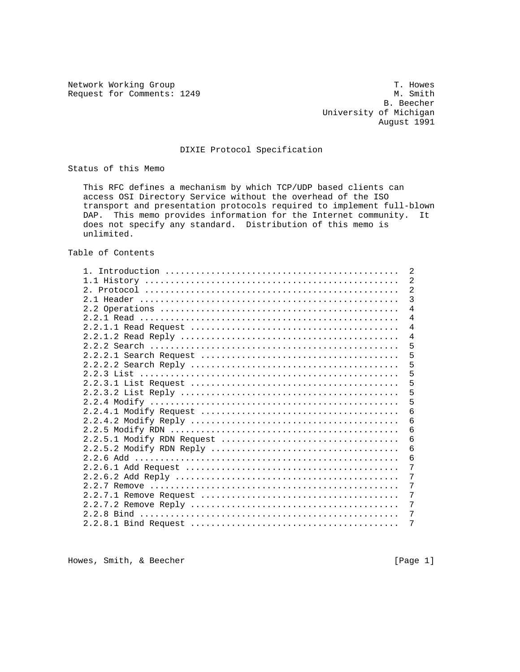Network Working Group<br>Request for Comments: 1249 M. Smith Request for Comments: 1249

 B. Beecher University of Michigan August 1991

## DIXIE Protocol Specification

Status of this Memo

 This RFC defines a mechanism by which TCP/UDP based clients can access OSI Directory Service without the overhead of the ISO transport and presentation protocols required to implement full-blown DAP. This memo provides information for the Internet community. It does not specify any standard. Distribution of this memo is unlimited.

Table of Contents

|  | 2              |
|--|----------------|
|  | $\overline{2}$ |
|  | $\overline{2}$ |
|  | $\overline{3}$ |
|  | $\overline{4}$ |
|  | $\overline{4}$ |
|  | $\overline{4}$ |
|  | $\overline{4}$ |
|  | 5              |
|  | 5              |
|  | 5              |
|  | 5              |
|  | 5              |
|  | 5              |
|  | 5              |
|  | $\overline{6}$ |
|  |                |
|  | 6              |
|  | 6              |
|  | 6              |
|  | 6              |
|  | 6              |
|  | 7              |
|  | 7              |
|  | 7              |
|  | 7              |
|  | 7              |
|  | 7              |
|  | 7              |
|  |                |

Howes, Smith, & Beecher [Page 1]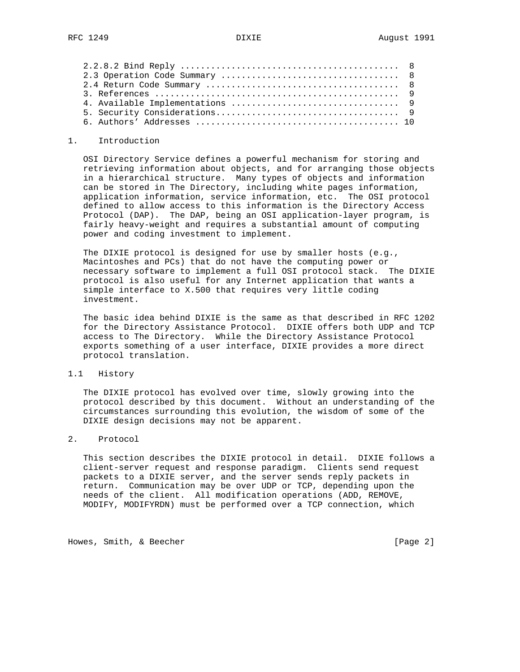#### 1. Introduction

 OSI Directory Service defines a powerful mechanism for storing and retrieving information about objects, and for arranging those objects in a hierarchical structure. Many types of objects and information can be stored in The Directory, including white pages information, application information, service information, etc. The OSI protocol defined to allow access to this information is the Directory Access Protocol (DAP). The DAP, being an OSI application-layer program, is fairly heavy-weight and requires a substantial amount of computing power and coding investment to implement.

 The DIXIE protocol is designed for use by smaller hosts (e.g., Macintoshes and PCs) that do not have the computing power or necessary software to implement a full OSI protocol stack. The DIXIE protocol is also useful for any Internet application that wants a simple interface to X.500 that requires very little coding investment.

 The basic idea behind DIXIE is the same as that described in RFC 1202 for the Directory Assistance Protocol. DIXIE offers both UDP and TCP access to The Directory. While the Directory Assistance Protocol exports something of a user interface, DIXIE provides a more direct protocol translation.

## 1.1 History

 The DIXIE protocol has evolved over time, slowly growing into the protocol described by this document. Without an understanding of the circumstances surrounding this evolution, the wisdom of some of the DIXIE design decisions may not be apparent.

## 2. Protocol

 This section describes the DIXIE protocol in detail. DIXIE follows a client-server request and response paradigm. Clients send request packets to a DIXIE server, and the server sends reply packets in return. Communication may be over UDP or TCP, depending upon the needs of the client. All modification operations (ADD, REMOVE, MODIFY, MODIFYRDN) must be performed over a TCP connection, which

Howes, Smith, & Beecher [Page 2]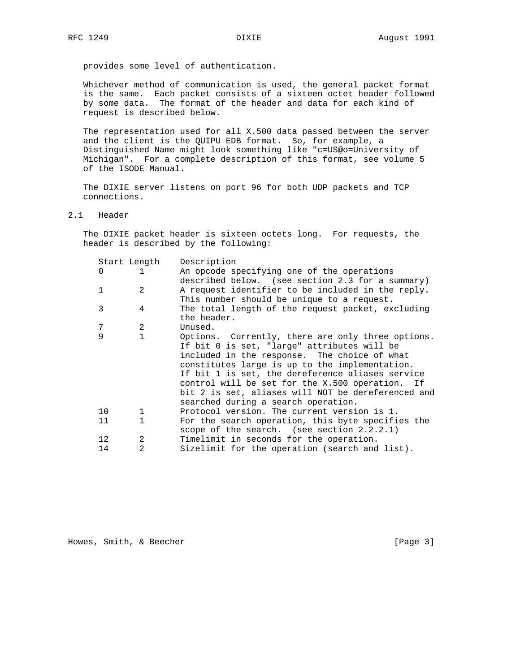provides some level of authentication.

 Whichever method of communication is used, the general packet format is the same. Each packet consists of a sixteen octet header followed by some data. The format of the header and data for each kind of request is described below.

 The representation used for all X.500 data passed between the server and the client is the QUIPU EDB format. So, for example, a Distinguished Name might look something like "c=US@o=University of Michigan". For a complete description of this format, see volume 5 of the ISODE Manual.

 The DIXIE server listens on port 96 for both UDP packets and TCP connections.

2.1 Header

 The DIXIE packet header is sixteen octets long. For requests, the header is described by the following:

|          | Start Length   | Description                                        |
|----------|----------------|----------------------------------------------------|
| $\Omega$ | $\mathbf{1}$   | An opcode specifying one of the operations         |
|          |                | described below. (see section 2.3 for a summary)   |
| 1        | $\mathcal{L}$  | A request identifier to be included in the reply.  |
|          |                | This number should be unique to a request.         |
| 3        | 4              | The total length of the request packet, excluding  |
|          |                | the header.                                        |
| 7        | 2              | Unused.                                            |
| 9        | $\mathbf{1}$   | Options. Currently, there are only three options.  |
|          |                | If bit 0 is set, "large" attributes will be        |
|          |                | included in the response. The choice of what       |
|          |                | constitutes large is up to the implementation.     |
|          |                | If bit 1 is set, the dereference aliases service   |
|          |                | control will be set for the X.500 operation. If    |
|          |                | bit 2 is set, aliases will NOT be dereferenced and |
|          |                | searched during a search operation.                |
| 10       | $\mathbf{1}$   | Protocol version. The current version is 1.        |
| 11       | $\mathbf{1}$   | For the search operation, this byte specifies the  |
|          |                | scope of the search. (see section $2.2.2.1$ )      |
| 12       | $\mathfrak{D}$ | Timelimit in seconds for the operation.            |
| 14       | $\mathfrak{D}$ | Sizelimit for the operation (search and list).     |
|          |                |                                                    |

Howes, Smith, & Beecher [Page 3]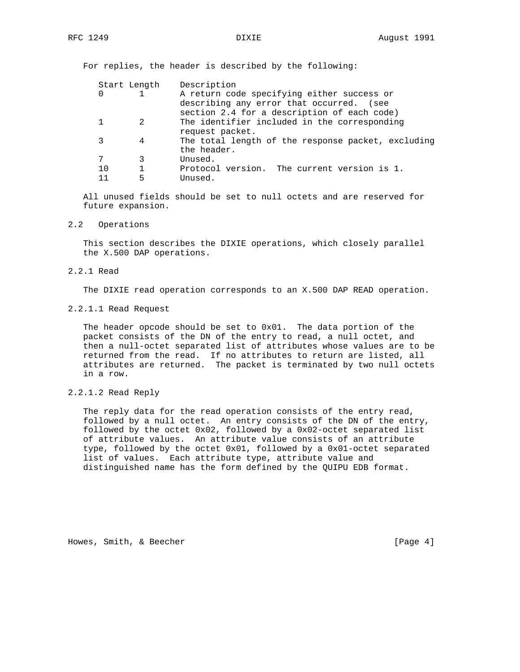For replies, the header is described by the following:

|    | Start Length | Description                                        |
|----|--------------|----------------------------------------------------|
| 0  |              | A return code specifying either success or         |
|    |              | describing any error that occurred. (see           |
|    |              | section 2.4 for a description of each code)        |
|    |              | The identifier included in the corresponding       |
|    |              | request packet.                                    |
| 3  | 4            | The total length of the response packet, excluding |
|    |              | the header.                                        |
| 7  | 3            | Unused.                                            |
| 10 |              | Protocol version. The current version is 1.        |
|    | 5            | Unused.                                            |

 All unused fields should be set to null octets and are reserved for future expansion.

## 2.2 Operations

 This section describes the DIXIE operations, which closely parallel the X.500 DAP operations.

2.2.1 Read

The DIXIE read operation corresponds to an X.500 DAP READ operation.

2.2.1.1 Read Request

 The header opcode should be set to 0x01. The data portion of the packet consists of the DN of the entry to read, a null octet, and then a null-octet separated list of attributes whose values are to be returned from the read. If no attributes to return are listed, all attributes are returned. The packet is terminated by two null octets in a row.

 The reply data for the read operation consists of the entry read, followed by a null octet. An entry consists of the DN of the entry, followed by the octet 0x02, followed by a 0x02-octet separated list of attribute values. An attribute value consists of an attribute type, followed by the octet 0x01, followed by a 0x01-octet separated list of values. Each attribute type, attribute value and distinguished name has the form defined by the QUIPU EDB format.

Howes, Smith, & Beecher [Page 4]

<sup>2.2.1.2</sup> Read Reply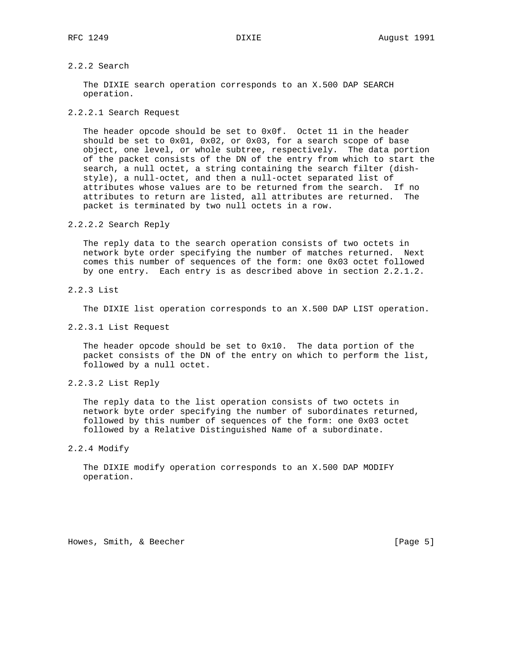# 2.2.2 Search

 The DIXIE search operation corresponds to an X.500 DAP SEARCH operation.

## 2.2.2.1 Search Request

 The header opcode should be set to 0x0f. Octet 11 in the header should be set to 0x01, 0x02, or 0x03, for a search scope of base object, one level, or whole subtree, respectively. The data portion of the packet consists of the DN of the entry from which to start the search, a null octet, a string containing the search filter (dish style), a null-octet, and then a null-octet separated list of attributes whose values are to be returned from the search. If no attributes to return are listed, all attributes are returned. The packet is terminated by two null octets in a row.

## 2.2.2.2 Search Reply

 The reply data to the search operation consists of two octets in network byte order specifying the number of matches returned. Next comes this number of sequences of the form: one 0x03 octet followed by one entry. Each entry is as described above in section 2.2.1.2.

## 2.2.3 List

The DIXIE list operation corresponds to an X.500 DAP LIST operation.

2.2.3.1 List Request

 The header opcode should be set to 0x10. The data portion of the packet consists of the DN of the entry on which to perform the list, followed by a null octet.

2.2.3.2 List Reply

 The reply data to the list operation consists of two octets in network byte order specifying the number of subordinates returned, followed by this number of sequences of the form: one 0x03 octet followed by a Relative Distinguished Name of a subordinate.

## 2.2.4 Modify

 The DIXIE modify operation corresponds to an X.500 DAP MODIFY operation.

Howes, Smith, & Beecher [Page 5]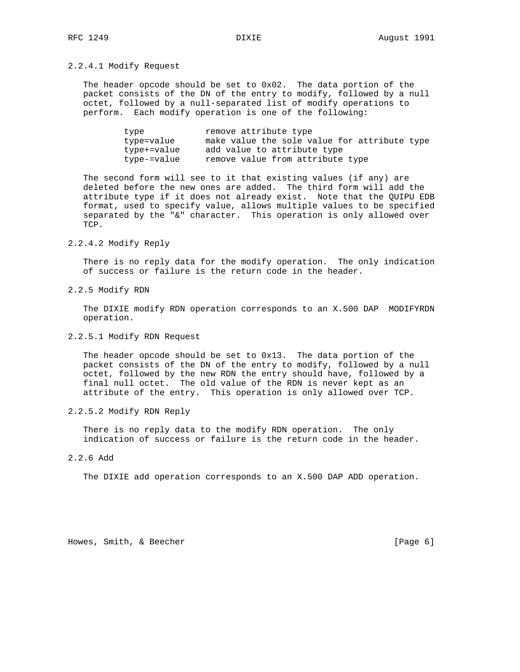## 2.2.4.1 Modify Request

 The header opcode should be set to 0x02. The data portion of the packet consists of the DN of the entry to modify, followed by a null octet, followed by a null-separated list of modify operations to perform. Each modify operation is one of the following:

| type        | remove attribute type                        |
|-------------|----------------------------------------------|
| type=value  | make value the sole value for attribute type |
| type+=value | add value to attribute type                  |
| type-=value | remove value from attribute type             |

 The second form will see to it that existing values (if any) are deleted before the new ones are added. The third form will add the attribute type if it does not already exist. Note that the QUIPU EDB format, used to specify value, allows multiple values to be specified separated by the "&" character. This operation is only allowed over TCP.

## 2.2.4.2 Modify Reply

 There is no reply data for the modify operation. The only indication of success or failure is the return code in the header.

### 2.2.5 Modify RDN

 The DIXIE modify RDN operation corresponds to an X.500 DAP MODIFYRDN operation.

## 2.2.5.1 Modify RDN Request

 The header opcode should be set to 0x13. The data portion of the packet consists of the DN of the entry to modify, followed by a null octet, followed by the new RDN the entry should have, followed by a final null octet. The old value of the RDN is never kept as an attribute of the entry. This operation is only allowed over TCP.

### 2.2.5.2 Modify RDN Reply

 There is no reply data to the modify RDN operation. The only indication of success or failure is the return code in the header.

## 2.2.6 Add

The DIXIE add operation corresponds to an X.500 DAP ADD operation.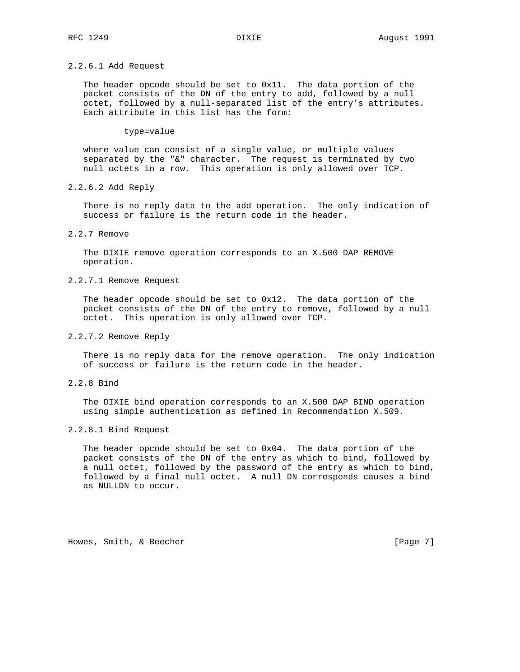## 2.2.6.1 Add Request

 The header opcode should be set to 0x11. The data portion of the packet consists of the DN of the entry to add, followed by a null octet, followed by a null-separated list of the entry's attributes. Each attribute in this list has the form:

### type=value

 where value can consist of a single value, or multiple values separated by the "&" character. The request is terminated by two null octets in a row. This operation is only allowed over TCP.

2.2.6.2 Add Reply

 There is no reply data to the add operation. The only indication of success or failure is the return code in the header.

## 2.2.7 Remove

 The DIXIE remove operation corresponds to an X.500 DAP REMOVE operation.

## 2.2.7.1 Remove Request

 The header opcode should be set to 0x12. The data portion of the packet consists of the DN of the entry to remove, followed by a null octet. This operation is only allowed over TCP.

## 2.2.7.2 Remove Reply

 There is no reply data for the remove operation. The only indication of success or failure is the return code in the header.

2.2.8 Bind

 The DIXIE bind operation corresponds to an X.500 DAP BIND operation using simple authentication as defined in Recommendation X.509.

## 2.2.8.1 Bind Request

The header opcode should be set to  $0x04$ . The data portion of the packet consists of the DN of the entry as which to bind, followed by a null octet, followed by the password of the entry as which to bind, followed by a final null octet. A null DN corresponds causes a bind as NULLDN to occur.

Howes, Smith, & Beecher [Page 7]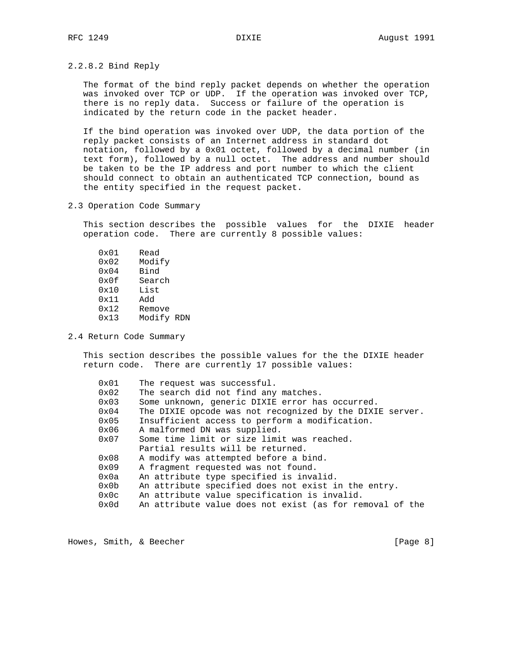2.2.8.2 Bind Reply

 The format of the bind reply packet depends on whether the operation was invoked over TCP or UDP. If the operation was invoked over TCP, there is no reply data. Success or failure of the operation is indicated by the return code in the packet header.

 If the bind operation was invoked over UDP, the data portion of the reply packet consists of an Internet address in standard dot notation, followed by a 0x01 octet, followed by a decimal number (in text form), followed by a null octet. The address and number should be taken to be the IP address and port number to which the client should connect to obtain an authenticated TCP connection, bound as the entity specified in the request packet.

2.3 Operation Code Summary

 This section describes the possible values for the DIXIE header operation code. There are currently 8 possible values:

| 0x01          | Read       |  |
|---------------|------------|--|
| 0x02          | Modify     |  |
| $0 \times 04$ | Bind       |  |
| 0x0f          | Search     |  |
| 0x10          | List       |  |
| 0x11          | Add        |  |
| 0x12          | Remove     |  |
| 0x13          | Modify RDN |  |
|               |            |  |

2.4 Return Code Summary

 This section describes the possible values for the the DIXIE header return code. There are currently 17 possible values:

| 0x01          | The request was successful.                              |
|---------------|----------------------------------------------------------|
| 0x02          | The search did not find any matches.                     |
| 0x03          | Some unknown, generic DIXIE error has occurred.          |
| 0x04          | The DIXIE opcode was not recognized by the DIXIE server. |
| 0x05          | Insufficient access to perform a modification.           |
| 0x06          | A malformed DN was supplied.                             |
| 0x07          | Some time limit or size limit was reached.               |
|               | Partial results will be returned.                        |
| $0 \times 08$ | A modify was attempted before a bind.                    |
| $0 \times 09$ | A fragment requested was not found.                      |
| 0x0a          | An attribute type specified is invalid.                  |
| 0x0b          | An attribute specified does not exist in the entry.      |
| 0x0c          | An attribute value specification is invalid.             |
| $0 \times 0d$ | An attribute value does not exist (as for removal of the |

Howes, Smith, & Beecher [Page 8]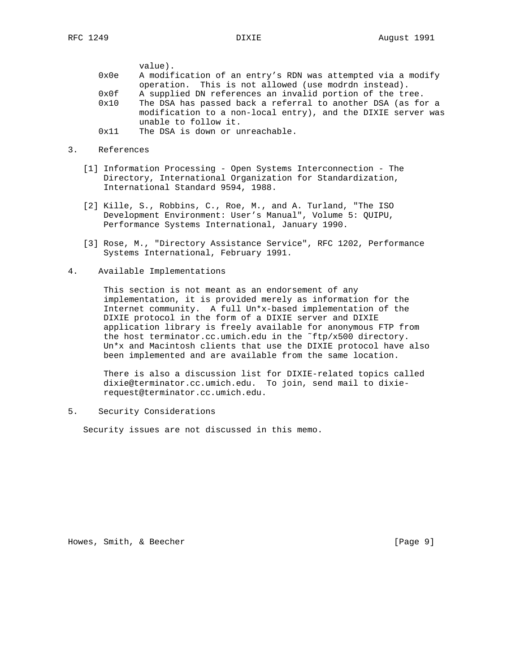value). 0x0e A modification of an entry's RDN was attempted via a modify operation. This is not allowed (use modrdn instead). 0x0f A supplied DN references an invalid portion of the tree. 0x10 The DSA has passed back a referral to another DSA (as for a modification to a non-local entry), and the DIXIE server was unable to follow it. 0x11 The DSA is down or unreachable.

- 3. References
	- [1] Information Processing Open Systems Interconnection The Directory, International Organization for Standardization, International Standard 9594, 1988.
	- [2] Kille, S., Robbins, C., Roe, M., and A. Turland, "The ISO Development Environment: User's Manual", Volume 5: QUIPU, Performance Systems International, January 1990.
	- [3] Rose, M., "Directory Assistance Service", RFC 1202, Performance Systems International, February 1991.
- 4. Available Implementations

 This section is not meant as an endorsement of any implementation, it is provided merely as information for the Internet community. A full Un\*x-based implementation of the DIXIE protocol in the form of a DIXIE server and DIXIE application library is freely available for anonymous FTP from the host terminator.cc.umich.edu in the ˜ftp/x500 directory. Un\*x and Macintosh clients that use the DIXIE protocol have also been implemented and are available from the same location.

 There is also a discussion list for DIXIE-related topics called dixie@terminator.cc.umich.edu. To join, send mail to dixie request@terminator.cc.umich.edu.

5. Security Considerations

Security issues are not discussed in this memo.

Howes, Smith, & Beecher [Page 9]